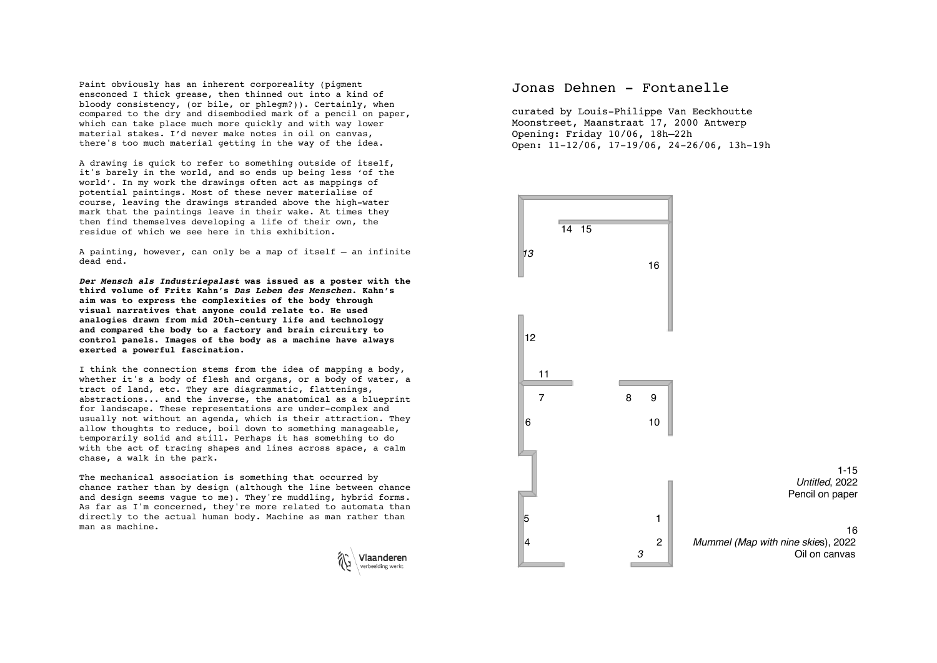Paint obviously has an inherent corporeality (pigment ensconced I thick grease, then thinned out into a kind of bloody consistency, (or bile, or phlegm?)). Certainly, when compared to the dry and disembodied mark of a pencil on paper, which can take place much more quickly and with way lower material stakes. I'd never make notes in oil on canvas, there's too much material getting in the way of the idea.

A drawing is quick to refer to something outside of itself, it's barely in the world, and so ends up being less 'of the world'. In my work the drawings often act as mappings of potential paintings. Most of these never materialise of course, leaving the drawings stranded above the high-water mark that the paintings leave in their wake. At times they then find themselves developing a life of their own, the residue of which we see here in this exhibition.

A painting, however, can only be a map of itself — an infinite dead end.

*Der Mensch als Industriepalast* **was issued as a poster with the third volume of Fritz Kahn's** *Das Leben des Menschen***. Kahn's aim was to express the complexities of the body through visual narratives that anyone could relate to. He used analogies drawn from mid 20th-century life and technology and compared the body to a factory and brain circuitry to control panels. Images of the body as a machine have always exerted a powerful fascination.** 

I think the connection stems from the idea of mapping a body, whether it's a body of flesh and organs, or a body of water, a tract of land, etc. They are diagrammatic, flattenings, abstractions... and the inverse, the anatomical as a blueprint for landscape. These representations are under-complex and usually not without an agenda, which is their attraction. They allow thoughts to reduce, boil down to something manageable, temporarily solid and still. Perhaps it has something to do with the act of tracing shapes and lines across space, a calm chase, a walk in the park.

The mechanical association is something that occurred by chance rather than by design (although the line between chance and design seems vague to me). They're muddling, hybrid forms. As far as I'm concerned, they're more related to automata than directly to the actual human body. Machine as man rather than man as machine.



## Jonas Dehnen - Fontanelle

curated by Louis-Philippe Van Eeckhoutte Moonstreet, Maanstraat 17, 2000 Antwerp Opening: Friday 10/06, 18h–22h Open: 11-12/06, 17-19/06, 24-26/06, 13h-19h